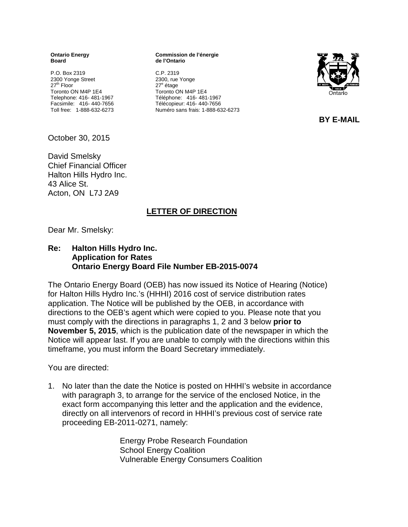**Ontario Energy Board**

P.O. Box 2319 2300 Yonge Street 27<sup>th</sup> Floor Toronto ON M4P 1E4 Telephone: 416- 481-1967 Facsimile: 416- 440-7656 Toll free: 1-888-632-6273 **Commission de l'énergie de l'Ontario**

C.P. 2319 2300, rue Yonge 27<sup>e</sup> étage Toronto ON M4P 1E4 Téléphone: 416- 481-1967 Télécopieur: 416- 440-7656 Numéro sans frais: 1-888-632-6273



 **BY E-MAIL** 

October 30, 2015

David Smelsky Chief Financial Officer Halton Hills Hydro Inc. 43 Alice St. Acton, ON L7J 2A9

## **LETTER OF DIRECTION**

Dear Mr. Smelsky:

## **Re: Halton Hills Hydro Inc. Application for Rates Ontario Energy Board File Number EB-2015-0074**

The Ontario Energy Board (OEB) has now issued its Notice of Hearing (Notice) for Halton Hills Hydro Inc.'s (HHHI) 2016 cost of service distribution rates application. The Notice will be published by the OEB, in accordance with directions to the OEB's agent which were copied to you. Please note that you must comply with the directions in paragraphs 1, 2 and 3 below **prior to November 5, 2015**, which is the publication date of the newspaper in which the Notice will appear last. If you are unable to comply with the directions within this timeframe, you must inform the Board Secretary immediately.

You are directed:

1. No later than the date the Notice is posted on HHHI's website in accordance with paragraph 3, to arrange for the service of the enclosed Notice, in the exact form accompanying this letter and the application and the evidence, directly on all intervenors of record in HHHI's previous cost of service rate proceeding EB-2011-0271, namely:

> Energy Probe Research Foundation School Energy Coalition Vulnerable Energy Consumers Coalition